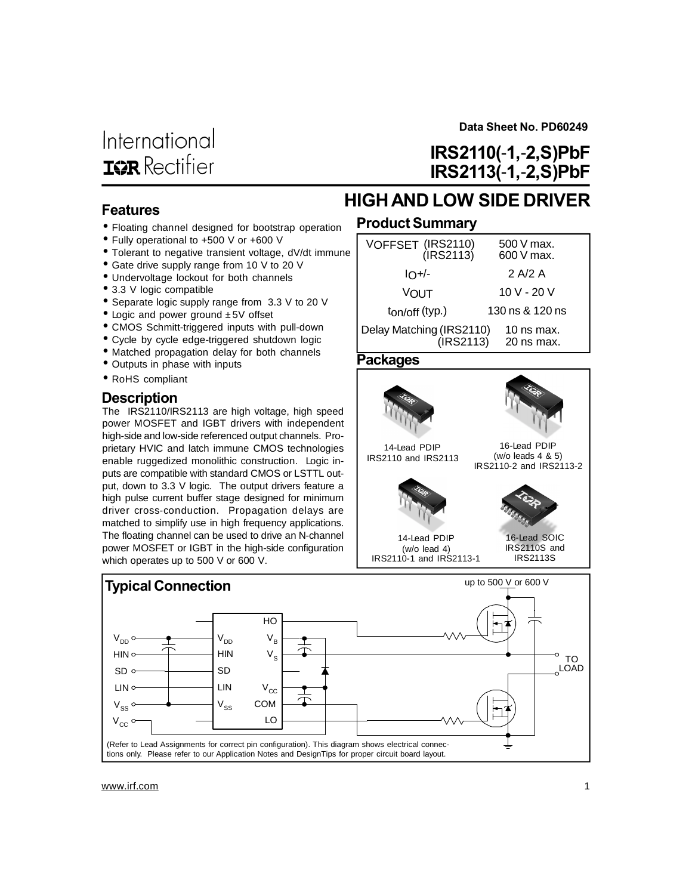**Data Sheet No. PD60249**

**IRS2110(**-**1,**-**2,S)PbF**

# **HIGHAND LOW SIDE DRIVER IRS2113(**-**1,**-**2,S)PbF**

### **Features**

- Floating channel designed for bootstrap operation
- Fully operational to +500 V or +600 V
- Tolerant to negative transient voltage, dV/dt immune
- Gate drive supply range from 10 V to 20 V
- Undervoltage lockout for both channels
- 3.3 V logic compatible
- Separate logic supply range from 3.3 V to 20 V
- Logic and power ground  $±5V$  offset
- CMOS Schmitt-triggered inputs with pull-down
- Cycle by cycle edge-triggered shutdown logic
- Matched propagation delay for both channels
- Outputs in phase with inputs
- RoHS compliant

#### **Description**

The IRS2110/IRS2113 are high voltage, high speed power MOSFET and IGBT drivers with independent high-side and low-side referenced output channels. Proprietary HVIC and latch immune CMOS technologies enable ruggedized monolithic construction. Logic inputs are compatible with standard CMOS or LSTTL output, down to 3.3 V logic. The output drivers feature a high pulse current buffer stage designed for minimum driver cross-conduction. Propagation delays are matched to simplify use in high frequency applications. The floating channel can be used to drive an N-channel power MOSFET or IGBT in the high-side configuration which operates up to 500 V or 600 V.

### **Product Summary**

| VOFFSET (IRS2110)<br>(IRS2113)              | 500 V max.<br>$600V$ max.  |
|---------------------------------------------|----------------------------|
| $I$ -/-                                     | 2 A/2 A                    |
| <b>VOUT</b>                                 | 10 V - 20 V                |
| $t_{\text{on}/\text{off}}$ (typ.)           | 130 ns & 120 ns            |
| Delay Matching (IRS2110)<br>$($ IRS2113 $)$ | 10 ns max.<br>$20$ ns max. |
|                                             |                            |

#### **Packages**







IRS2110-1 and IRS2113-1 IRS2110S and IRS2113S

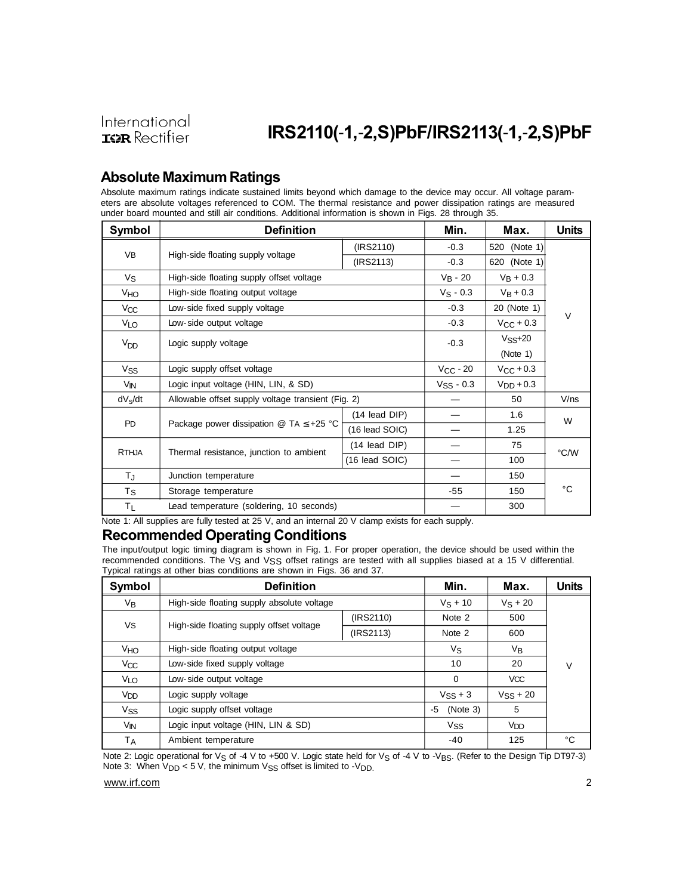### **Absolute MaximumRatings**

Absolute maximum ratings indicate sustained limits beyond which damage to the device may occur. All voltage parameters are absolute voltages referenced to COM. The thermal resistance and power dissipation ratings are measured under board mounted and still air conditions. Additional information is shown in Figs. 28 through 35.

| Symbol              | <b>Definition</b>                                                                        |                  | Min.                    | Max.                  | <b>Units</b> |  |
|---------------------|------------------------------------------------------------------------------------------|------------------|-------------------------|-----------------------|--------------|--|
|                     |                                                                                          | (IRS2110)        | $-0.3$                  | 520 (Note 1)          |              |  |
| <b>VB</b>           | High-side floating supply voltage                                                        | (IRS2113)        | $-0.3$                  | 620 (Note 1)          |              |  |
| Vs                  | High-side floating supply offset voltage                                                 |                  | $V_B - 20$              | $V_B + 0.3$           |              |  |
| V <sub>HO</sub>     | High-side floating output voltage                                                        |                  | $V_S - 0.3$             | $V_B + 0.3$           |              |  |
| Vcc                 | Low-side fixed supply voltage                                                            |                  | $-0.3$                  | 20 (Note 1)           | V            |  |
| <b>VLO</b>          | Low-side output voltage                                                                  |                  | $-0.3$                  | $V_{\text{CC}} + 0.3$ |              |  |
| $V_{DD}$            | Logic supply voltage                                                                     |                  | $-0.3$                  | $VSS+20$              |              |  |
|                     |                                                                                          |                  |                         | (Note 1)              |              |  |
| V <sub>SS</sub>     | Logic supply offset voltage                                                              | $V_{CC}$ - 20    | $V_{\rm CC}$ + 0.3      |                       |              |  |
| V <sub>IN</sub>     | Logic input voltage (HIN, LIN, & SD)                                                     |                  | $V$ <sub>SS</sub> - 0.3 | $V_{\text{DD}} + 0.3$ |              |  |
| dV <sub>s</sub> /dt | Allowable offset supply voltage transient (Fig. 2)                                       |                  |                         | 50                    | V/ns         |  |
|                     |                                                                                          | (14 lead DIP)    |                         | 1.6                   | W            |  |
| <b>PD</b>           | Package power dissipation $\textcircled{a}$ TA $\leq$ +25 °C                             | (16 lead SOIC)   |                         | 1.25                  |              |  |
| <b>RTHJA</b>        | Thermal resistance, junction to ambient                                                  | (14 lead DIP)    |                         | 75                    |              |  |
|                     |                                                                                          | $(16$ lead SOIC) |                         | 100                   | °C/W         |  |
| $T_{\rm J}$         | Junction temperature                                                                     |                  | 150                     |                       |              |  |
| Τs                  | Storage temperature                                                                      |                  | $-55$                   | 150                   | °C           |  |
| ΤL                  | Lead temperature (soldering, 10 seconds)<br>$\epsilon$ is a second second for $\epsilon$ |                  | 300                     |                       |              |  |

### Note 1: All supplies are fully tested at 25 V, and an internal 20 V clamp exists for each supply.

#### **Recommended Operating Conditions**

The input/output logic timing diagram is shown in Fig. 1. For proper operation, the device should be used within the recommended conditions. The VS and VSS offset ratings are tested with all supplies biased at a 15 V differential. Typical ratings at other bias conditions are shown in Figs. 36 and 37.

| Symbol                | <b>Definition</b>                                           | Min.      | Max.                  | <b>Units</b>    |    |  |
|-----------------------|-------------------------------------------------------------|-----------|-----------------------|-----------------|----|--|
| V <sub>B</sub>        | High-side floating supply absolute voltage                  |           | $V_S + 10$            | $V_S + 20$      |    |  |
|                       |                                                             | (IRS2110) | Note 2                | 500             |    |  |
|                       | VS<br>High-side floating supply offset voltage<br>(IRS2113) |           | Note 2                | 600             |    |  |
| V <sub>HO</sub>       | High-side floating output voltage                           |           | Vs                    | V <sub>B</sub>  |    |  |
| Vcc                   | Low-side fixed supply voltage                               |           | 10                    | 20              | V  |  |
| <b>VLO</b>            | Low-side output voltage                                     |           | $\mathbf 0$           | <b>VCC</b>      |    |  |
| V <sub>DD</sub>       | Logic supply voltage                                        |           | $V$ <sub>SS</sub> + 3 | $V_{SS}$ + 20   |    |  |
| <b>V<sub>SS</sub></b> | Logic supply offset voltage                                 |           | (Note 3)<br>-5        | 5               |    |  |
| V <sub>IN</sub>       | Logic input voltage (HIN, LIN & SD)                         |           | <b>V<sub>SS</sub></b> | V <sub>DD</sub> |    |  |
| Tд                    | Ambient temperature                                         |           | -40                   | 125             | °C |  |

Note 2: Logic operational for  $V_S$  of -4 V to +500 V. Logic state held for  $V_S$  of -4 V to -V<sub>BS</sub>. (Refer to the Design Tip DT97-3) Note 3: When  $V_{DD}$  < 5 V, the minimum  $V_{SS}$  offset is limited to - $V_{DD}$ .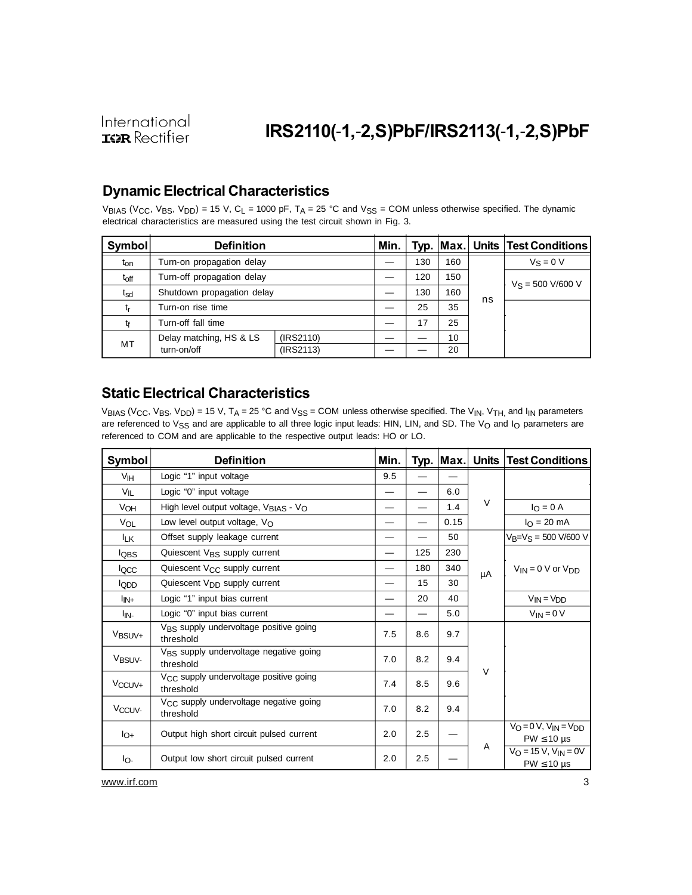# **IRS2110(**-**1,**-**2,S)PbF/IRS2113(**-**1,**-**2,S)PbF**

### **DynamicElectrical Characteristics**

VBIAS (V<sub>CC</sub>, V<sub>BS</sub>, V<sub>DD</sub>) = 15 V, C<sub>L</sub> = 1000 pF, T<sub>A</sub> = 25 °C and V<sub>SS</sub> = COM unless otherwise specified. The dynamic electrical characteristics are measured using the test circuit shown in Fig. 3.

| <b>Symbol</b>   | <b>Definition</b>          |           | Min. |     |     |                     | Typ. Max. Units Test Conditions |  |
|-----------------|----------------------------|-----------|------|-----|-----|---------------------|---------------------------------|--|
| t <sub>on</sub> | Turn-on propagation delay  |           |      | 130 | 160 |                     | $V_S = 0 V$                     |  |
| $t_{off}$       | Turn-off propagation delay |           |      | 120 | 150 | $V_S = 500 V/600 V$ |                                 |  |
| tsd             | Shutdown propagation delay |           |      | 130 | 160 | ns                  |                                 |  |
| tr              | Turn-on rise time          |           |      | 25  | 35  |                     |                                 |  |
| tf              | Turn-off fall time         |           |      | 17  | 25  |                     |                                 |  |
| MT              | Delay matching, HS & LS    | (IRS2110) |      |     | 10  |                     |                                 |  |
|                 | turn-on/off                | (IRS2113) |      |     | 20  |                     |                                 |  |

### **Static Electrical Characteristics**

VBIAS (VCC, VBS, VDD) = 15 V, TA = 25 °C and VSS = COM unless otherwise specified. The V<sub>IN</sub>, V<sub>TH,</sub> and I<sub>IN</sub> parameters are referenced to  $V_{SS}$  and are applicable to all three logic input leads: HIN, LIN, and SD. The  $V_O$  and  $I_O$  parameters are referenced to COM and are applicable to the respective output leads: HO or LO.

| Symbol             | <b>Definition</b>                                               | Min. |     | Typ.   Max. |        | <b>Units Test Conditions</b>                                        |
|--------------------|-----------------------------------------------------------------|------|-----|-------------|--------|---------------------------------------------------------------------|
| VIH                | Logic "1" input voltage                                         | 9.5  |     |             |        |                                                                     |
| V <sub>IL</sub>    | Logic "0" input voltage                                         |      |     | 6.0         |        |                                                                     |
| VOH                | High level output voltage, V <sub>BIAS</sub> - V <sub>O</sub>   |      |     | 1.4         | V      | $I_{\rm O} = 0$ A                                                   |
| VOL                | Low level output voltage, Vo                                    |      |     | 0.15        |        | $I_{\rm O} = 20 \text{ mA}$                                         |
| <b>ILK</b>         | Offset supply leakage current                                   |      |     | 50          |        | $V_B=V_S = 500 V/600 V$                                             |
| <b>IQBS</b>        | Quiescent V <sub>BS</sub> supply current                        |      | 125 | 230         |        |                                                                     |
| locc               | Quiescent V <sub>CC</sub> supply current                        |      | 180 | 340         | μA     | $V_{IN} = 0 V$ or $V_{DD}$                                          |
| <b>IQDD</b>        | Quiescent V <sub>DD</sub> supply current                        |      | 15  | 30          |        |                                                                     |
| l <sub>IN+</sub>   | Logic "1" input bias current                                    |      | 20  | 40          |        | $V_{IN} = V_{DD}$                                                   |
| l <sub>IN-</sub>   | Logic "0" input bias current                                    |      |     | 5.0         |        | $V_{IN} = 0 V$                                                      |
| V <sub>BSUV+</sub> | V <sub>BS</sub> supply undervoltage positive going<br>threshold | 7.5  | 8.6 | 9.7         |        |                                                                     |
| V <sub>BSUV-</sub> | V <sub>BS</sub> supply undervoltage negative going<br>threshold | 7.0  | 8.2 | 9.4         | $\vee$ |                                                                     |
| V <sub>CCUV+</sub> | V <sub>CC</sub> supply undervoltage positive going<br>threshold | 7.4  | 8.5 | 9.6         |        |                                                                     |
| V <sub>CCUV-</sub> | V <sub>CC</sub> supply undervoltage negative going<br>threshold | 7.0  | 8.2 | 9.4         |        |                                                                     |
| $I_{O+}$           | Output high short circuit pulsed current                        | 2.0  | 2.5 |             |        | $V_O = 0 V$ , $V_{IN} = V_{DD}$<br>$PW \leq 10 \text{ }\mu\text{s}$ |
| lo-                | Output low short circuit pulsed current                         | 2.0  | 2.5 |             | A      | $V_O = 15 V$ , $V_{IN} = 0V$<br>$PW \leq 10 \text{ }\mu\text{s}$    |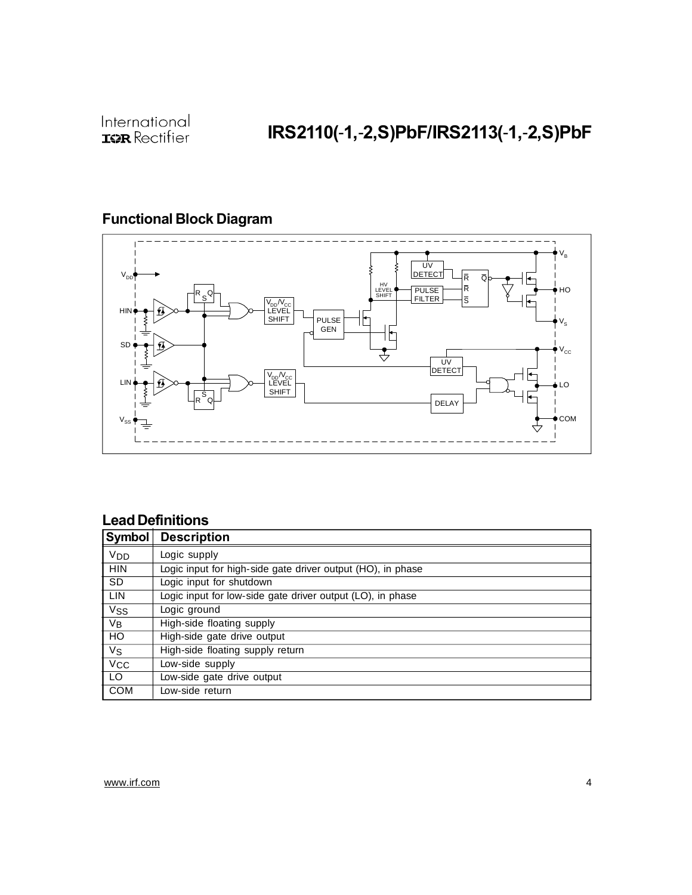# **IRS2110(**-**1,**-**2,S)PbF/IRS2113(**-**1,**-**2,S)PbF**

### **Functional Block Diagram**



### **Lead Definitions**

| Symbol           | <b>Description</b>                                          |
|------------------|-------------------------------------------------------------|
| V <sub>DD</sub>  | Logic supply                                                |
| <b>HIN</b>       | Logic input for high-side gate driver output (HO), in phase |
| <b>SD</b>        | Logic input for shutdown                                    |
| <b>LIN</b>       | Logic input for low-side gate driver output (LO), in phase  |
| <b>Vss</b>       | Logic ground                                                |
| $\overline{V_B}$ | High-side floating supply                                   |
| $\overline{10}$  | High-side gate drive output                                 |
| $V_{\rm S}$      | High-side floating supply return                            |
| $V_{CC}$         | Low-side supply                                             |
| LO.              | Low-side gate drive output                                  |
| COM              | Low-side return                                             |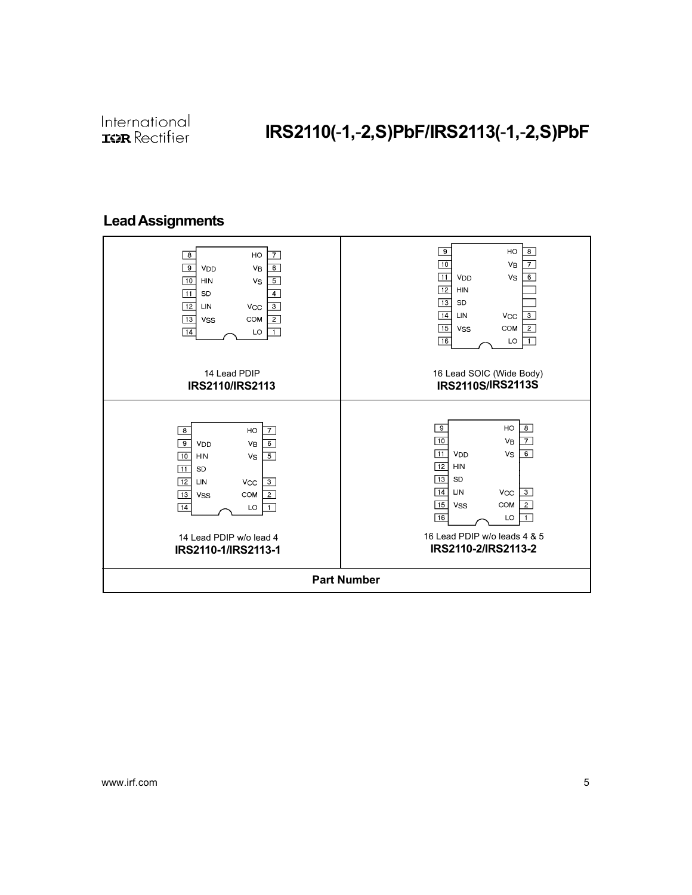# IRS2110(-1,-2,S)PbF/IRS2113(-1,-2,S)PbF

### Lead Assignments

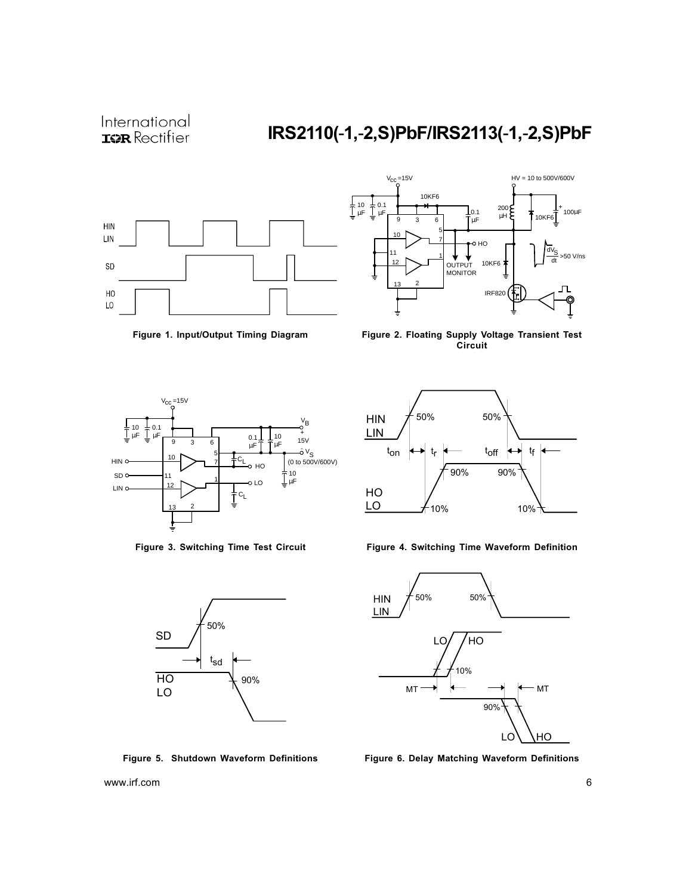



Figure 1. Input/Output Timing Diagram Figure 2. Floating Supply Voltage Transient Test Circuit







Figure 3. Switching Time Test Circuit Figure 4. Switching Time Waveform Definition



Figure 5. Shutdown Waveform Definitions Figure 6. Delay Matching Waveform Definitions

www.irf.com 6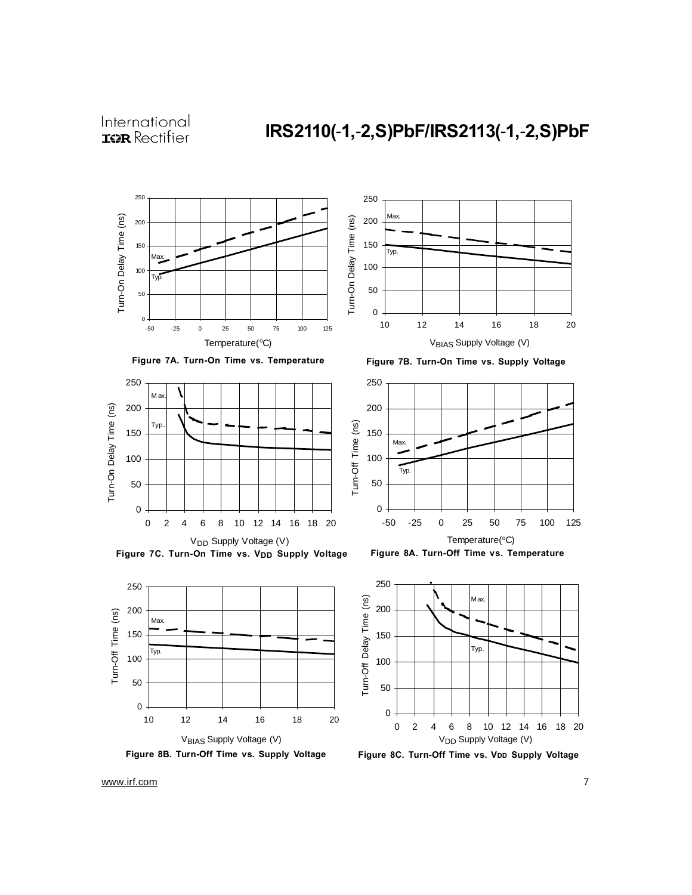# **IRS2110(**-**1,**-**2,S)PbF/IRS2113(**-**1,**-**2,S)PbF**

















**Figure 8A. Turn-Off Time vs. Temperature**



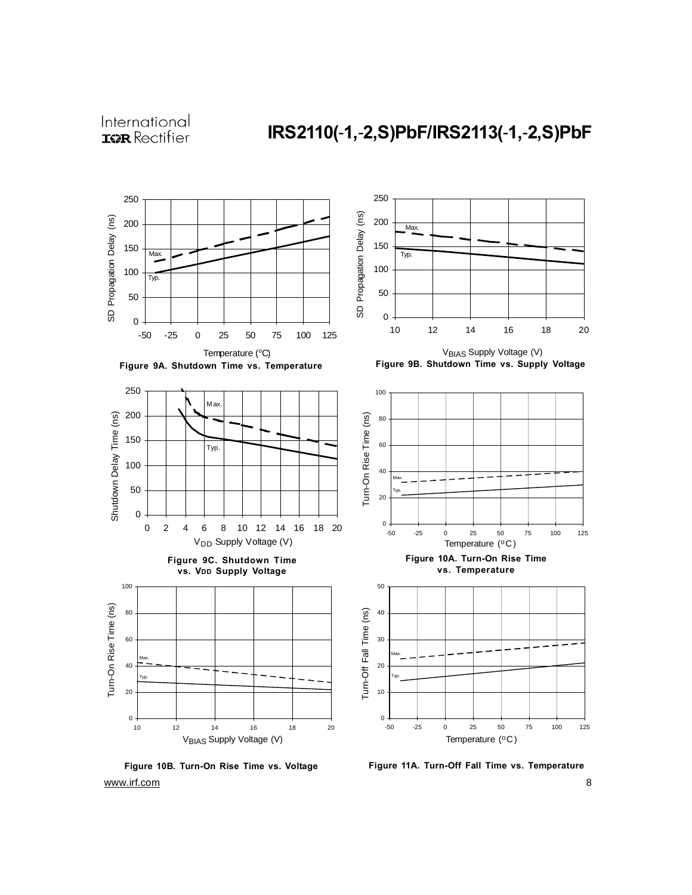

www.irf.com 8 **Figure 10B. Turn-On Rise Time vs. Voltage**

**Figure 11A. Turn-Off Fall Time vs. Temperature**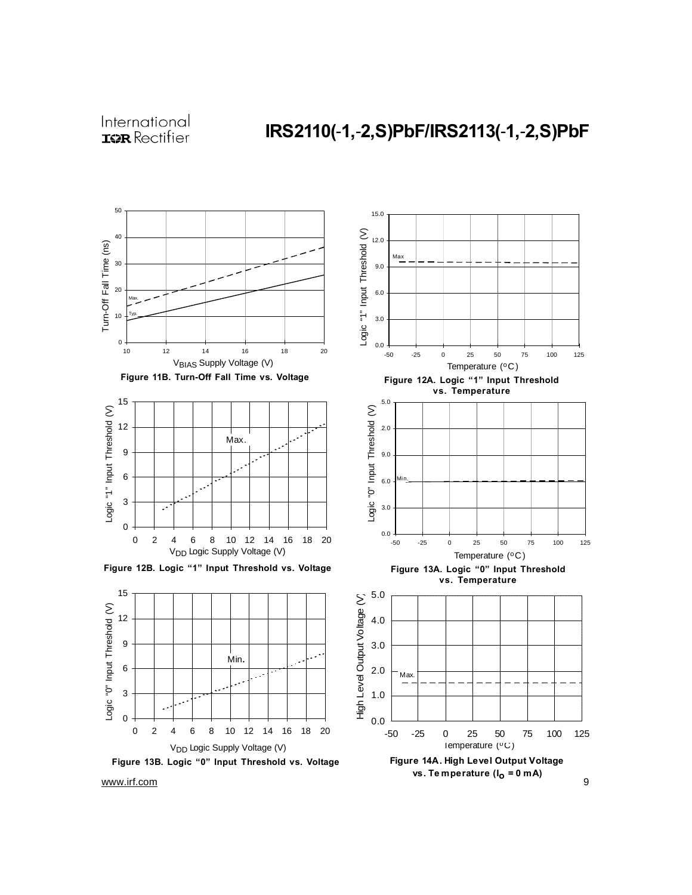









Temperature (°C)

**Figure 14A. High Level Output Voltage vs. Te mperature (Io = 0 mA)**

-50 -25 0 25 50 75 100 125

0.0

1.0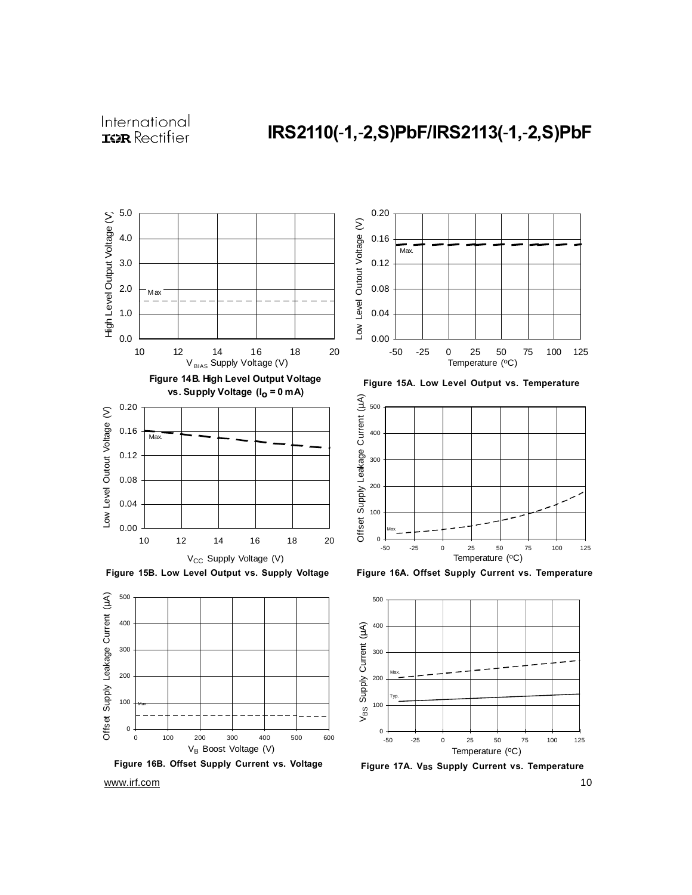



**Figure 16B. Offset Supply Current vs. Voltage**



**Figure 15A. Low Level Output vs. Temperature**





**Figure 17A. VBS Supply Current vs. Temperature**

www.irf.com 10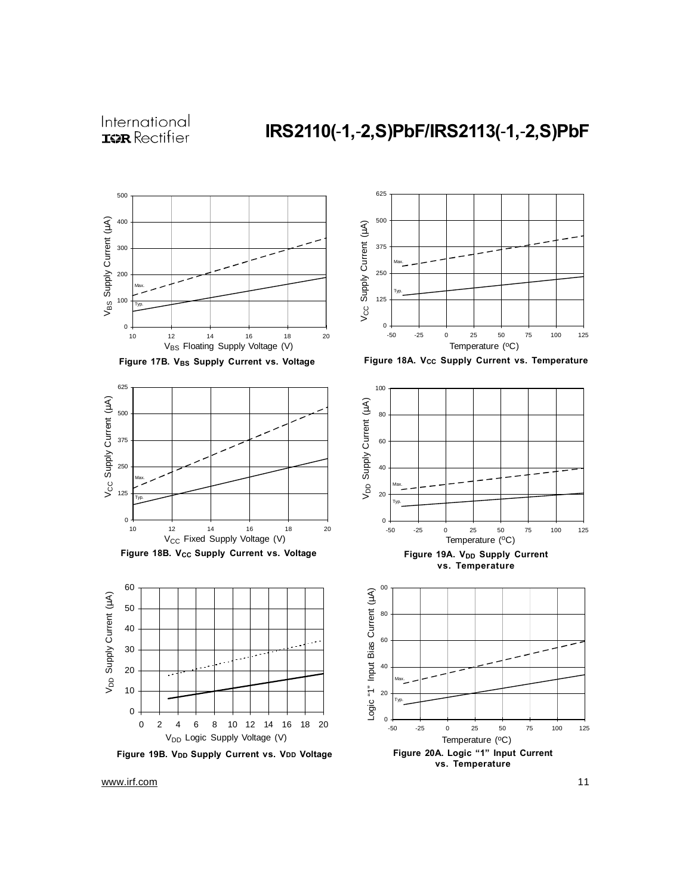









**Figure 19B. VDD Supply Current vs. VDD Voltage Figure 20A. Logic "1" Input Current vs. Temperature**  $0 +$ <br>-50 20 40 60 80 100 -50 -25 0 25 50 75 100 125 Max. Typ. Logic "1" Input Bias Current (μA)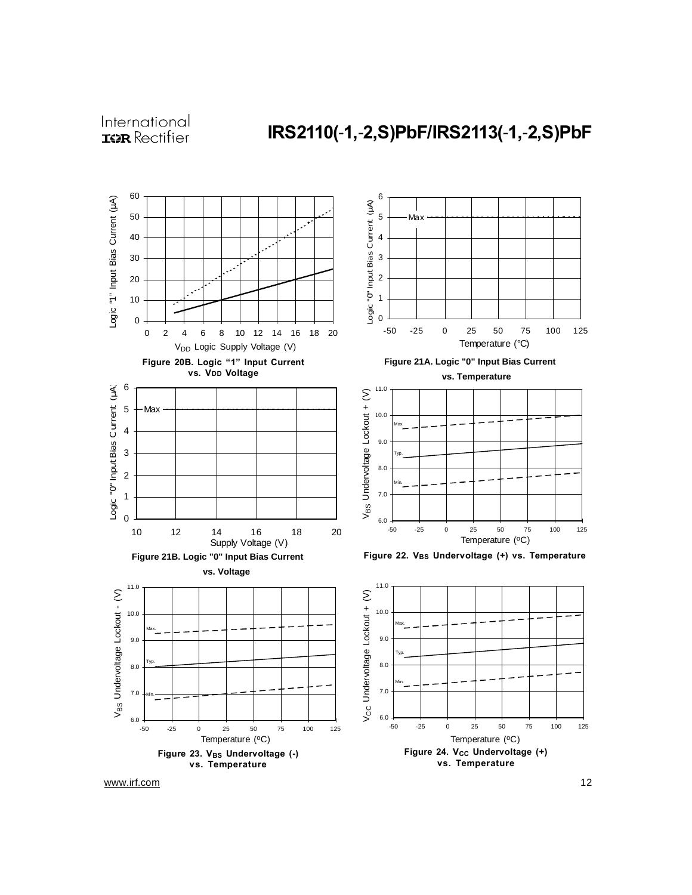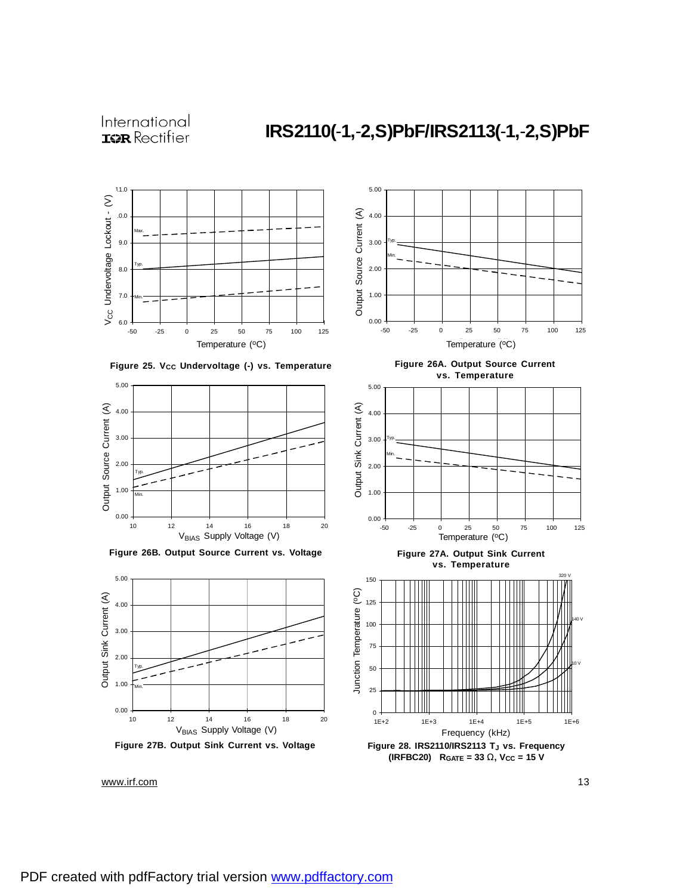

**Figure 25. VCC Undervoltage (-) vs. Temperature**



**Figure 26B. Output Source Current vs. Voltage**



**Figure 27B. Output Sink Current vs. Voltage**



**Figure 26A. Output Source Current vs. Temperature**



**Figure 27A. Output Sink Current vs. Temperature**



**Figure 28. IRS2110/IRS2113 TJ vs. Frequency (IRFBC20) RGATE = 33 W, VCC = 15 V**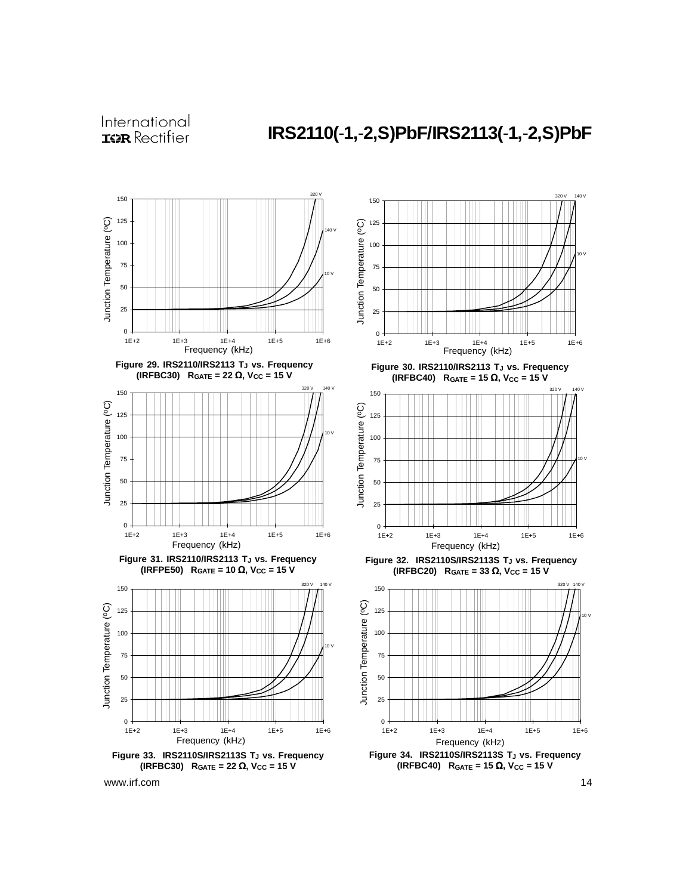# **IRS2110(**-**1,**-**2,S)PbF/IRS2113(**-**1,**-**2,S)PbF**





**(IRFBC40) RGATE = 15** Ω**, VCC = 15 V**

320 V 140 V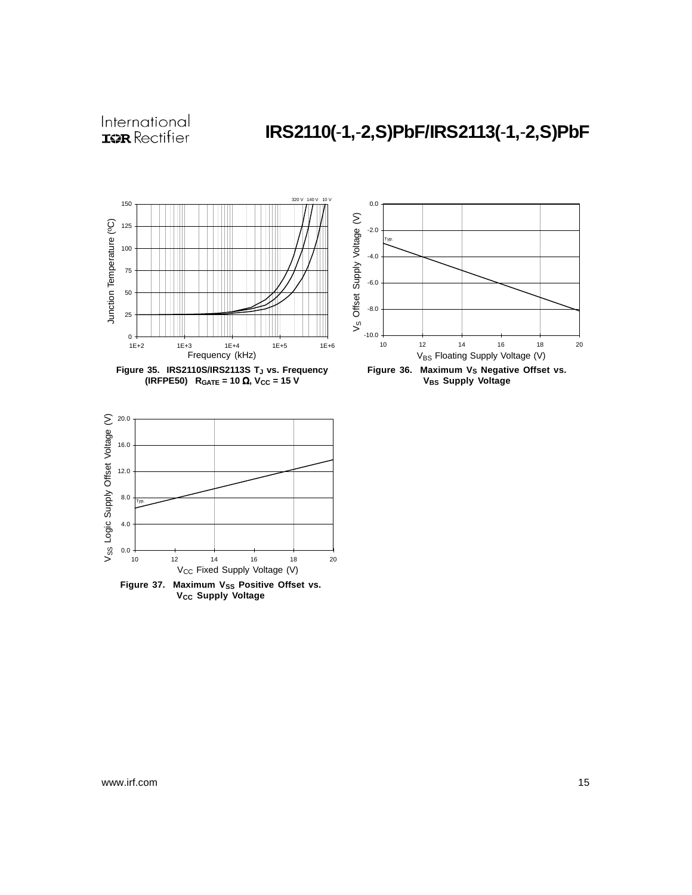# **IRS2110(**-**1,**-**2,S)PbF/IRS2113(**-**1,**-**2,S)PbF**



Figure 37. Maximum V<sub>SS</sub> Positive Offset vs. **V<sub>CC</sub>** Supply Voltage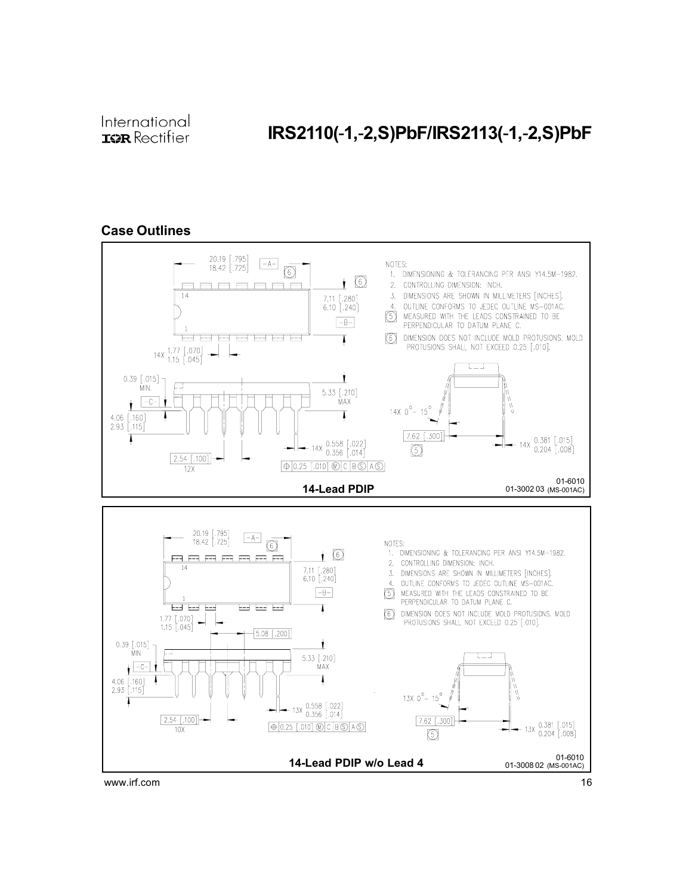# IRS2110(-1,-2,S)PbF/IRS2113(-1,-2,S)PbF

### Case Outlines

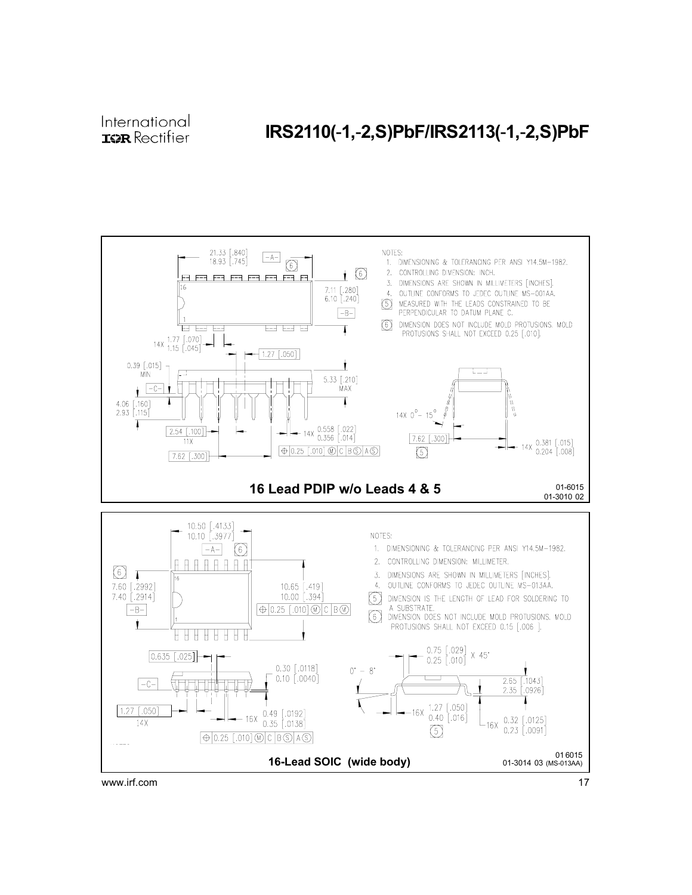### IRS2110(-1,-2,S)PbF/IRS2113(-1,-2,S)PbF

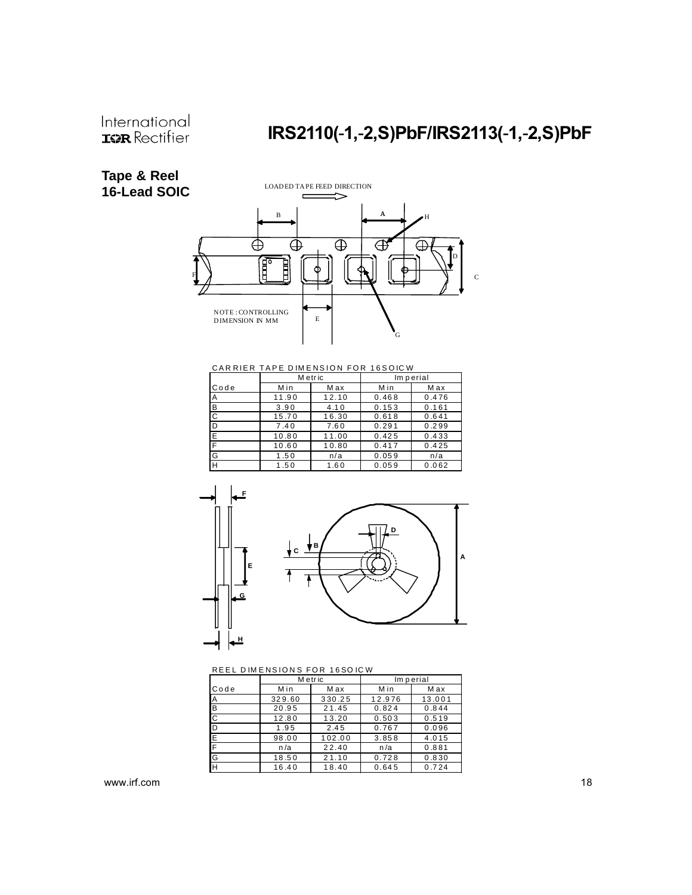# IRS2110(-1,-2,S)PbF/IRS2113(-1,-2,S)PbF

### **Tape & Reel 16-Lead SOIC**



CARRIER TAPE DIMENSION FOR 16SOICW

|                | M etric |       |       | Im perial |  |
|----------------|---------|-------|-------|-----------|--|
| Code           | Min     | Max   | Min   | M ax      |  |
| Α              | 11.90   | 12.10 | 0.468 | 0.476     |  |
| B              | 3.90    | 4.10  | 0.153 | 0.161     |  |
| $\overline{C}$ | 15.70   | 16.30 | 0.618 | 0.641     |  |
| D              | 7.40    | 7.60  | 0.291 | 0.299     |  |
| E              | 10.80   | 11.00 | 0.425 | 0.433     |  |
| F              | 10.60   | 10.80 | 0.417 | 0.425     |  |
| G              | 1.50    | n/a   | 0.059 | n/a       |  |
| H              | 1.50    | 1.60  | 0.059 | 0.062     |  |



REEL DIMENSIONS FOR 16SO ICW

|                | M etric |        |        | Im perial |
|----------------|---------|--------|--------|-----------|
| Code           | Min     | Max    | Min    | M ax      |
| <b>A</b>       | 329.60  | 330.25 | 12.976 | 13.001    |
| <b>B</b>       | 20.95   | 21.45  | 0.824  | 0.844     |
| $\overline{c}$ | 12.80   | 13.20  | 0.503  | 0.519     |
| ID             | 1.95    | 2.45   | 0.767  | 0.096     |
| Ε              | 98.00   | 102.00 | 3.858  | 4.015     |
| F              | n/a     | 22.40  | n/a    | 0.881     |
| IG             | 18.50   | 21.10  | 0.728  | 0.830     |
| H              | 16.40   | 18.40  | 0.645  | 0.724     |